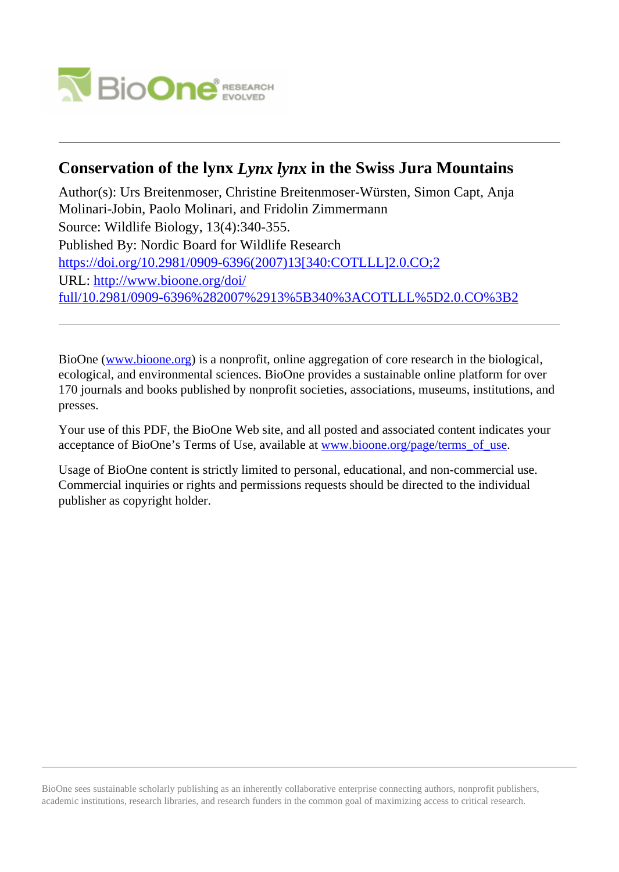

# **Conservation of the lynx** *Lynx lynx* **in the Swiss Jura Mountains**

Author(s): Urs Breitenmoser, Christine Breitenmoser-Würsten, Simon Capt, Anja Molinari-Jobin, Paolo Molinari, and Fridolin Zimmermann Source: Wildlife Biology, 13(4):340-355. Published By: Nordic Board for Wildlife Research [https://doi.org/10.2981/0909-6396\(2007\)13\[340:COTLLL\]2.0.CO;2](https://doi.org/10.2981/0909-6396(2007)13[340:COTLLL]2.0.CO;2) URL: [http://www.bioone.org/doi/](http://www.bioone.org/doi/full/10.2981/0909-6396%282007%2913%5B340%3ACOTLLL%5D2.0.CO%3B2) [full/10.2981/0909-6396%282007%2913%5B340%3ACOTLLL%5D2.0.CO%3B2](http://www.bioone.org/doi/full/10.2981/0909-6396%282007%2913%5B340%3ACOTLLL%5D2.0.CO%3B2)

BioOne [\(www.bioone.org\)](http://www.bioone.org) is a nonprofit, online aggregation of core research in the biological, ecological, and environmental sciences. BioOne provides a sustainable online platform for over 170 journals and books published by nonprofit societies, associations, museums, institutions, and presses.

Your use of this PDF, the BioOne Web site, and all posted and associated content indicates your acceptance of BioOne's Terms of Use, available at [www.bioone.org/page/terms\\_of\\_use.](http://www.bioone.org/page/terms_of_use)

Usage of BioOne content is strictly limited to personal, educational, and non-commercial use. Commercial inquiries or rights and permissions requests should be directed to the individual publisher as copyright holder.

BioOne sees sustainable scholarly publishing as an inherently collaborative enterprise connecting authors, nonprofit publishers, academic institutions, research libraries, and research funders in the common goal of maximizing access to critical research.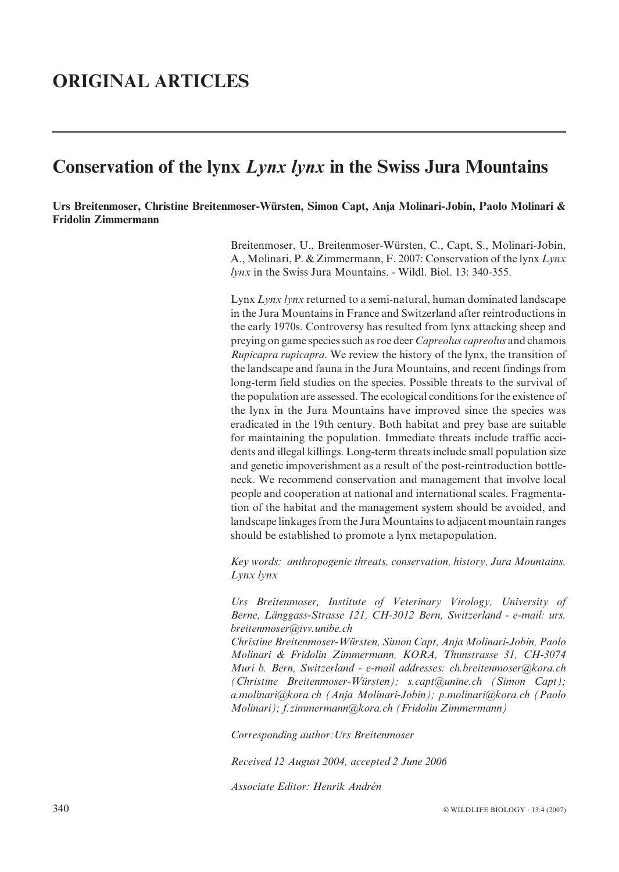# ORIGINAL ARTICLES

# Conservation of the lynx Lynx lynx in the Swiss Jura Mountains

Urs Breitenmoser, Christine Breitenmoser-Wu¨rsten, Simon Capt, Anja Molinari-Jobin, Paolo Molinari & Fridolin Zimmermann

> Breitenmoser, U., Breitenmoser-Wu¨rsten, C., Capt, S., Molinari-Jobin, A., Molinari, P. & Zimmermann, F. 2007: Conservation of the lynx Lynx lynx in the Swiss Jura Mountains. - Wildl. Biol. 13: 340-355.

> Lynx Lynx lynx returned to a semi-natural, human dominated landscape in the Jura Mountains in France and Switzerland after reintroductions in the early 1970s. Controversy has resulted from lynx attacking sheep and preying on game species such as roe deer Capreolus capreolus and chamois Rupicapra rupicapra. We review the history of the lynx, the transition of the landscape and fauna in the Jura Mountains, and recent findings from long-term field studies on the species. Possible threats to the survival of the population are assessed. The ecological conditions for the existence of the lynx in the Jura Mountains have improved since the species was eradicated in the 19th century. Both habitat and prey base are suitable for maintaining the population. Immediate threats include traffic accidents and illegal killings. Long-term threats include small population size and genetic impoverishment as a result of the post-reintroduction bottleneck. We recommend conservation and management that involve local people and cooperation at national and international scales. Fragmentation of the habitat and the management system should be avoided, and landscape linkages from the Jura Mountains to adjacent mountain ranges should be established to promote a lynx metapopulation.

> Key words: anthropogenic threats, conservation, history, Jura Mountains, Lynx lynx

> Urs Breitenmoser, Institute of Veterinary Virology, University of Berne, Länggass-Strasse 121, CH-3012 Bern, Switzerland - e-mail: urs. breitenmoser@ivv.unibe.ch

> Christine Breitenmoser-Wu¨rsten, Simon Capt, Anja Molinari-Jobin, Paolo Molinari & Fridolin Zimmermann, KORA, Thunstrasse 31, CH-3074 Muri b. Bern, Switzerland - e-mail addresses: ch.breitenmoser@kora.ch (Christine Breitenmoser-Wu¨rsten); s.capt@unine.ch (Simon Capt); a.molinari@kora.ch (Anja Molinari-Jobin); p.molinari@kora.ch (Paolo Molinari); f.zimmermann@kora.ch (Fridolin Zimmermann)

Corresponding author:Urs Breitenmoser

Received 12 August 2004, accepted 2 June 2006

Associate Editor: Henrik Andrén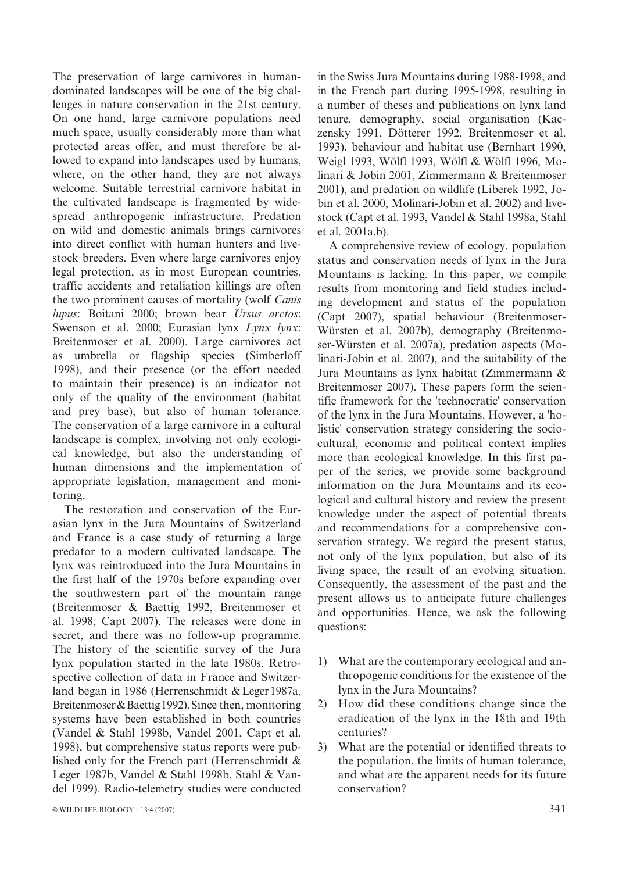The preservation of large carnivores in humandominated landscapes will be one of the big challenges in nature conservation in the 21st century. On one hand, large carnivore populations need much space, usually considerably more than what protected areas offer, and must therefore be allowed to expand into landscapes used by humans, where, on the other hand, they are not always welcome. Suitable terrestrial carnivore habitat in the cultivated landscape is fragmented by widespread anthropogenic infrastructure. Predation on wild and domestic animals brings carnivores into direct conflict with human hunters and livestock breeders. Even where large carnivores enjoy legal protection, as in most European countries, traffic accidents and retaliation killings are often the two prominent causes of mortality (wolf Canis lupus: Boitani 2000; brown bear Ursus arctos: Swenson et al. 2000; Eurasian lynx Lynx lynx: Breitenmoser et al. 2000). Large carnivores act as umbrella or flagship species (Simberloff 1998), and their presence (or the effort needed to maintain their presence) is an indicator not only of the quality of the environment (habitat and prey base), but also of human tolerance. The conservation of a large carnivore in a cultural landscape is complex, involving not only ecological knowledge, but also the understanding of human dimensions and the implementation of appropriate legislation, management and monitoring.

The restoration and conservation of the Eurasian lynx in the Jura Mountains of Switzerland and France is a case study of returning a large predator to a modern cultivated landscape. The lynx was reintroduced into the Jura Mountains in the first half of the 1970s before expanding over the southwestern part of the mountain range (Breitenmoser & Baettig 1992, Breitenmoser et al. 1998, Capt 2007). The releases were done in secret, and there was no follow-up programme. The history of the scientific survey of the Jura lynx population started in the late 1980s. Retrospective collection of data in France and Switzerland began in 1986 (Herrenschmidt & Leger 1987a, Breitenmoser & Baettig 1992). Since then, monitoring systems have been established in both countries (Vandel & Stahl 1998b, Vandel 2001, Capt et al. 1998), but comprehensive status reports were published only for the French part (Herrenschmidt & Leger 1987b, Vandel & Stahl 1998b, Stahl & Vandel 1999). Radio-telemetry studies were conducted in the Swiss Jura Mountains during 1988-1998, and in the French part during 1995-1998, resulting in a number of theses and publications on lynx land tenure, demography, social organisation (Kaczensky 1991, Dötterer 1992, Breitenmoser et al. 1993), behaviour and habitat use (Bernhart 1990, Weigl 1993, Wölfl 1993, Wölfl & Wölfl 1996, Molinari & Jobin 2001, Zimmermann & Breitenmoser 2001), and predation on wildlife (Liberek 1992, Jobin et al. 2000, Molinari-Jobin et al. 2002) and livestock (Capt et al. 1993, Vandel & Stahl 1998a, Stahl et al. 2001a,b).

A comprehensive review of ecology, population status and conservation needs of lynx in the Jura Mountains is lacking. In this paper, we compile results from monitoring and field studies including development and status of the population (Capt 2007), spatial behaviour (Breitenmoser-Würsten et al. 2007b), demography (Breitenmoser-Würsten et al. 2007a), predation aspects (Molinari-Jobin et al. 2007), and the suitability of the Jura Mountains as lynx habitat (Zimmermann & Breitenmoser 2007). These papers form the scientific framework for the 'technocratic' conservation of the lynx in the Jura Mountains. However, a 'holistic' conservation strategy considering the sociocultural, economic and political context implies more than ecological knowledge. In this first paper of the series, we provide some background information on the Jura Mountains and its ecological and cultural history and review the present knowledge under the aspect of potential threats and recommendations for a comprehensive conservation strategy. We regard the present status, not only of the lynx population, but also of its living space, the result of an evolving situation. Consequently, the assessment of the past and the present allows us to anticipate future challenges and opportunities. Hence, we ask the following questions:

- 1) What are the contemporary ecological and anthropogenic conditions for the existence of the lynx in the Jura Mountains?
- 2) How did these conditions change since the eradication of the lynx in the 18th and 19th centuries?
- 3) What are the potential or identified threats to the population, the limits of human tolerance, and what are the apparent needs for its future conservation?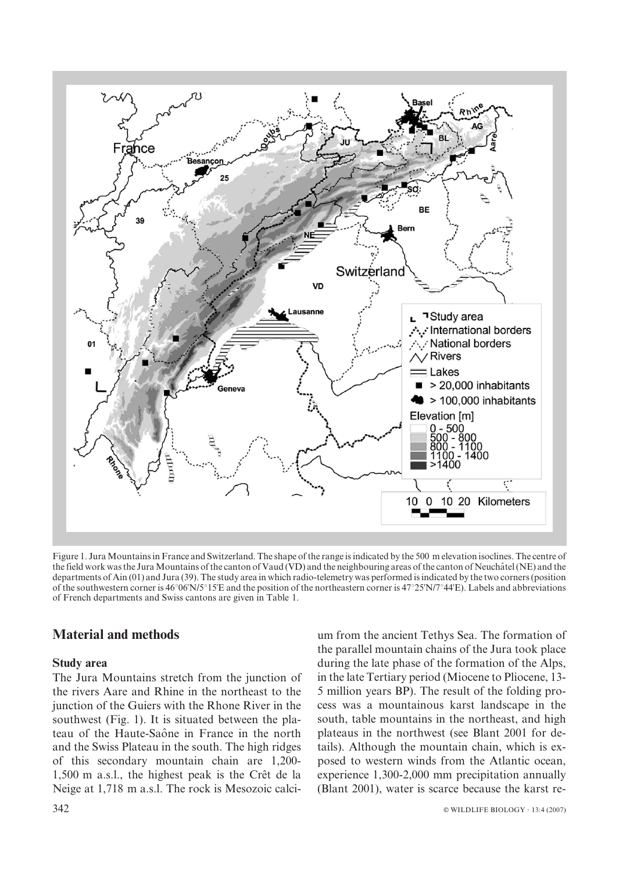

Figure 1. Jura Mountains in France and Switzerland. The shape of the range is indicated by the 500 m elevation isoclines. The centre of the field work was the Jura Mountains of the canton of Vaud (VD) and the neighbouring areas of the canton of Neuchâtel (NE) and the departments of Ain (01) and Jura (39). The study area in which radio-telemetry was performed is indicated by the two corners (position of the southwestern corner is  $46^{\circ}06'N/5^{\circ}15'E$  and the position of the northeastern corner is  $47^{\circ}25'N/7^{\circ}44'E$ ). Labels and abbreviations of French departments and Swiss cantons are given in Table 1.

## Material and methods

#### Study area

The Jura Mountains stretch from the junction of the rivers Aare and Rhine in the northeast to the junction of the Guiers with the Rhone River in the southwest (Fig. 1). It is situated between the plateau of the Haute-Saône in France in the north and the Swiss Plateau in the south. The high ridges of this secondary mountain chain are 1,200-  $1,500$  m a.s.l., the highest peak is the Crêt de la Neige at 1,718 m a.s.l. The rock is Mesozoic calcium from the ancient Tethys Sea. The formation of the parallel mountain chains of the Jura took place during the late phase of the formation of the Alps, in the late Tertiary period (Miocene to Pliocene, 13- 5 million years BP). The result of the folding process was a mountainous karst landscape in the south, table mountains in the northeast, and high plateaus in the northwest (see Blant 2001 for details). Although the mountain chain, which is exposed to western winds from the Atlantic ocean, experience 1,300-2,000 mm precipitation annually (Blant 2001), water is scarce because the karst re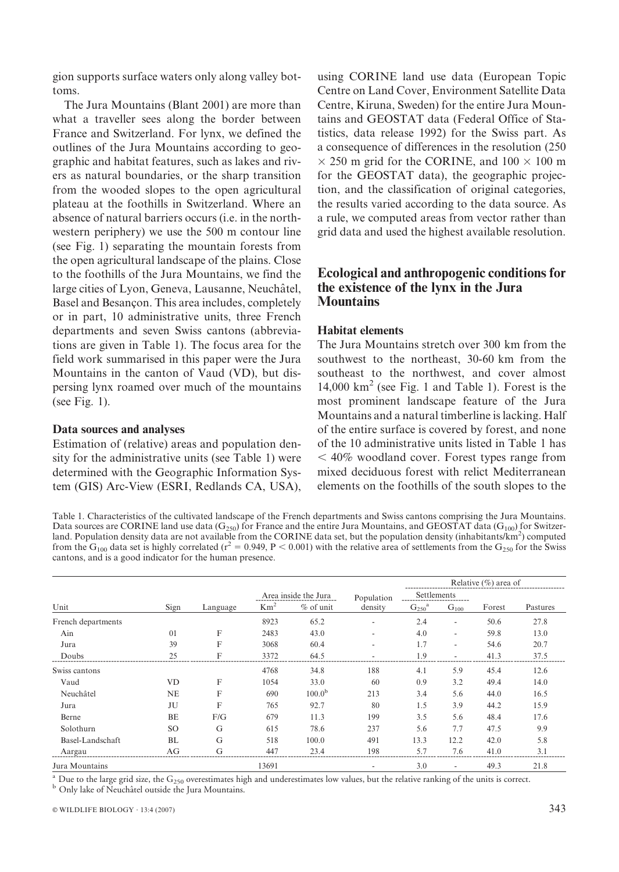gion supports surface waters only along valley bottoms.

The Jura Mountains (Blant 2001) are more than what a traveller sees along the border between France and Switzerland. For lynx, we defined the outlines of the Jura Mountains according to geographic and habitat features, such as lakes and rivers as natural boundaries, or the sharp transition from the wooded slopes to the open agricultural plateau at the foothills in Switzerland. Where an absence of natural barriers occurs (i.e. in the northwestern periphery) we use the 500 m contour line (see Fig. 1) separating the mountain forests from the open agricultural landscape of the plains. Close to the foothills of the Jura Mountains, we find the large cities of Lyon, Geneva, Lausanne, Neuchâtel, Basel and Besançon. This area includes, completely or in part, 10 administrative units, three French departments and seven Swiss cantons (abbreviations are given in Table 1). The focus area for the field work summarised in this paper were the Jura Mountains in the canton of Vaud (VD), but dispersing lynx roamed over much of the mountains (see Fig. 1).

#### Data sources and analyses

Estimation of (relative) areas and population density for the administrative units (see Table 1) were determined with the Geographic Information System (GIS) Arc-View (ESRI, Redlands CA, USA), using CORINE land use data (European Topic Centre on Land Cover, Environment Satellite Data Centre, Kiruna, Sweden) for the entire Jura Mountains and GEOSTAT data (Federal Office of Statistics, data release 1992) for the Swiss part. As a consequence of differences in the resolution (250  $\times$  250 m grid for the CORINE, and 100  $\times$  100 m for the GEOSTAT data), the geographic projection, and the classification of original categories, the results varied according to the data source. As a rule, we computed areas from vector rather than grid data and used the highest available resolution.

## Ecological and anthropogenic conditions for the existence of the lynx in the Jura **Mountains**

#### Habitat elements

The Jura Mountains stretch over 300 km from the southwest to the northeast, 30-60 km from the southeast to the northwest, and cover almost 14,000  $km^2$  (see Fig. 1 and Table 1). Forest is the most prominent landscape feature of the Jura Mountains and a natural timberline is lacking. Half of the entire surface is covered by forest, and none of the 10 administrative units listed in Table 1 has  $<$  40% woodland cover. Forest types range from mixed deciduous forest with relict Mediterranean elements on the foothills of the south slopes to the

Table 1. Characteristics of the cultivated landscape of the French departments and Swiss cantons comprising the Jura Mountains. Data sources are CORINE land use data  $(G_{250})$  for France and the entire Jura Mountains, and GEOSTAT data ( $G_{100}$ ) for Switzerland. Population density data are not available from the CORINE data set, but the population density (inhabitants/ $km^2$ ) computed from the  $G_{100}$  data set is highly correlated (r<sup>2</sup> = 0.949, P < 0.001) with the relative area of settlements from the  $G_{250}$  for the Swiss cantons, and is a good indicator for the human presence.

|                    | Sign      | Language |                      |                    |            | Relative $(\% )$ area of      |                          |        |          |
|--------------------|-----------|----------|----------------------|--------------------|------------|-------------------------------|--------------------------|--------|----------|
|                    |           |          | Area inside the Jura |                    | Population | Settlements                   |                          |        |          |
| Unit               |           |          | Km <sup>2</sup>      | $%$ of unit        | density    | G <sub>250</sub> <sup>a</sup> | $G_{100}$                | Forest | Pastures |
| French departments |           |          | 8923                 | 65.2               |            | 2.4                           | $\overline{\phantom{a}}$ | 50.6   | 27.8     |
| Ain                | 01        | F        | 2483                 | 43.0               |            | 4.0                           | $\overline{\phantom{a}}$ | 59.8   | 13.0     |
| Jura               | 39        | F        | 3068                 | 60.4               |            | 1.7                           |                          | 54.6   | 20.7     |
| Doubs              | 25        | F        | 3372                 | 64.5               |            | 1.9                           |                          | 41.3   | 37.5     |
| Swiss cantons      |           |          | 4768                 | 34.8               | 188        | 4.1                           | 5.9                      | 45.4   | 12.6     |
| Vaud               | <b>VD</b> | F        | 1054                 | 33.0               | 60         | 0.9                           | 3.2                      | 49.4   | 14.0     |
| Neuchâtel          | <b>NE</b> | F        | 690                  | 100.0 <sup>b</sup> | 213        | 3.4                           | 5.6                      | 44.0   | 16.5     |
| Jura               | JU        | F        | 765                  | 92.7               | 80         | 1.5                           | 3.9                      | 44.2   | 15.9     |
| Berne              | BE        | F/G      | 679                  | 11.3               | 199        | 3.5                           | 5.6                      | 48.4   | 17.6     |
| Solothurn          | SO.       | G        | 615                  | 78.6               | 237        | 5.6                           | 7.7                      | 47.5   | 9.9      |
| Basel-Landschaft   | BL        | G        | 518                  | 100.0              | 491        | 13.3                          | 12.2                     | 42.0   | 5.8      |
| Aargau             | AG        | G        | 447                  | 23.4               | 198        | 5.7                           | 7.6                      | 41.0   | 3.1      |
| Jura Mountains     |           |          | 13691                |                    |            | 3.0                           |                          | 49.3   | 21.8     |

 $^{\rm a}$  Due to the large grid size, the G<sub>250</sub> overestimates high and underestimates low values, but the relative ranking of the units is correct.  $^{\rm b}$  Only lake of Neuchâtel outside the Jura Mountains.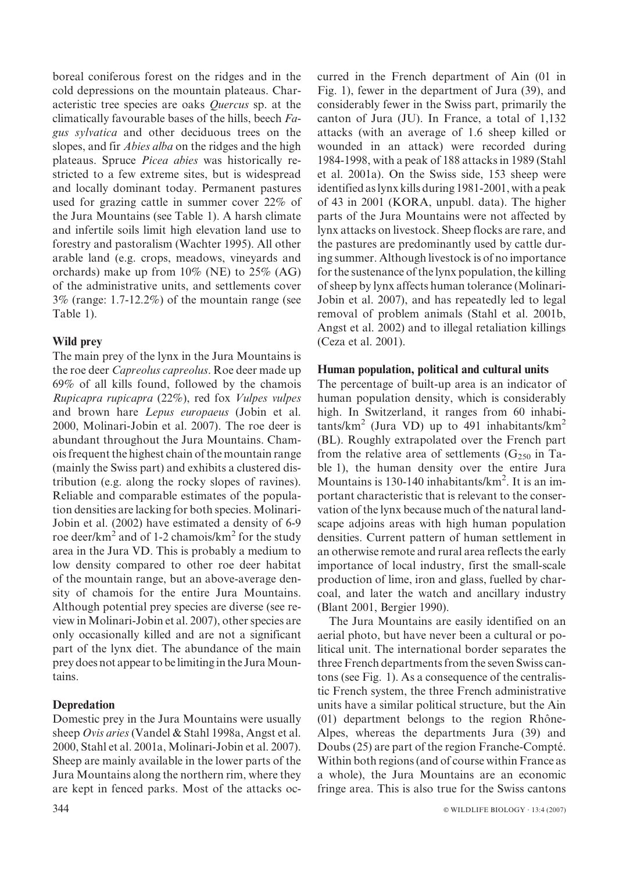boreal coniferous forest on the ridges and in the cold depressions on the mountain plateaus. Characteristic tree species are oaks Quercus sp. at the climatically favourable bases of the hills, beech Fagus sylvatica and other deciduous trees on the slopes, and fir Abies alba on the ridges and the high plateaus. Spruce Picea abies was historically restricted to a few extreme sites, but is widespread and locally dominant today. Permanent pastures used for grazing cattle in summer cover 22% of the Jura Mountains (see Table 1). A harsh climate and infertile soils limit high elevation land use to forestry and pastoralism (Wachter 1995). All other arable land (e.g. crops, meadows, vineyards and orchards) make up from  $10\%$  (NE) to  $25\%$  (AG) of the administrative units, and settlements cover 3% (range: 1.7-12.2%) of the mountain range (see Table 1).

# Wild prey

The main prey of the lynx in the Jura Mountains is the roe deer Capreolus capreolus. Roe deer made up 69% of all kills found, followed by the chamois Rupicapra rupicapra (22%), red fox Vulpes vulpes and brown hare Lepus europaeus (Jobin et al. 2000, Molinari-Jobin et al. 2007). The roe deer is abundant throughout the Jura Mountains. Chamois frequent the highest chain of the mountain range (mainly the Swiss part) and exhibits a clustered distribution (e.g. along the rocky slopes of ravines). Reliable and comparable estimates of the population densities are lacking for both species. Molinari-Jobin et al. (2002) have estimated a density of 6-9 roe deer/ $km^2$  and of 1-2 chamois/ $km^2$  for the study area in the Jura VD. This is probably a medium to low density compared to other roe deer habitat of the mountain range, but an above-average density of chamois for the entire Jura Mountains. Although potential prey species are diverse (see review in Molinari-Jobin et al. 2007), other species are only occasionally killed and are not a significant part of the lynx diet. The abundance of the main prey does not appear to be limiting in the Jura Mountains.

# Depredation

Domestic prey in the Jura Mountains were usually sheep Ovis aries (Vandel & Stahl 1998a, Angst et al. 2000, Stahl et al. 2001a, Molinari-Jobin et al. 2007). Sheep are mainly available in the lower parts of the Jura Mountains along the northern rim, where they are kept in fenced parks. Most of the attacks occurred in the French department of Ain (01 in Fig. 1), fewer in the department of Jura (39), and considerably fewer in the Swiss part, primarily the canton of Jura (JU). In France, a total of 1,132 attacks (with an average of 1.6 sheep killed or wounded in an attack) were recorded during 1984-1998, with a peak of 188 attacks in 1989 (Stahl et al. 2001a). On the Swiss side, 153 sheep were identified as lynx kills during 1981-2001, with a peak of 43 in 2001 (KORA, unpubl. data). The higher parts of the Jura Mountains were not affected by lynx attacks on livestock. Sheep flocks are rare, and the pastures are predominantly used by cattle during summer. Although livestock is of no importance for the sustenance of the lynx population, the killing of sheep by lynx affects human tolerance (Molinari-Jobin et al. 2007), and has repeatedly led to legal removal of problem animals (Stahl et al. 2001b, Angst et al. 2002) and to illegal retaliation killings (Ceza et al. 2001).

# Human population, political and cultural units

The percentage of built-up area is an indicator of human population density, which is considerably high. In Switzerland, it ranges from 60 inhabitants/km<sup>2</sup> (Jura VD) up to 491 inhabitants/km<sup>2</sup> (BL). Roughly extrapolated over the French part from the relative area of settlements ( $G_{250}$  in Table 1), the human density over the entire Jura Mountains is 130-140 inhabitants/km<sup>2</sup>. It is an important characteristic that is relevant to the conservation of the lynx because much of the natural landscape adjoins areas with high human population densities. Current pattern of human settlement in an otherwise remote and rural area reflects the early importance of local industry, first the small-scale production of lime, iron and glass, fuelled by charcoal, and later the watch and ancillary industry (Blant 2001, Bergier 1990).

The Jura Mountains are easily identified on an aerial photo, but have never been a cultural or political unit. The international border separates the three French departments from the seven Swiss cantons (see Fig. 1). As a consequence of the centralistic French system, the three French administrative units have a similar political structure, but the Ain  $(01)$  department belongs to the region Rhône-Alpes, whereas the departments Jura (39) and Doubs (25) are part of the region Franche-Compté. Within both regions (and of course within France as a whole), the Jura Mountains are an economic fringe area. This is also true for the Swiss cantons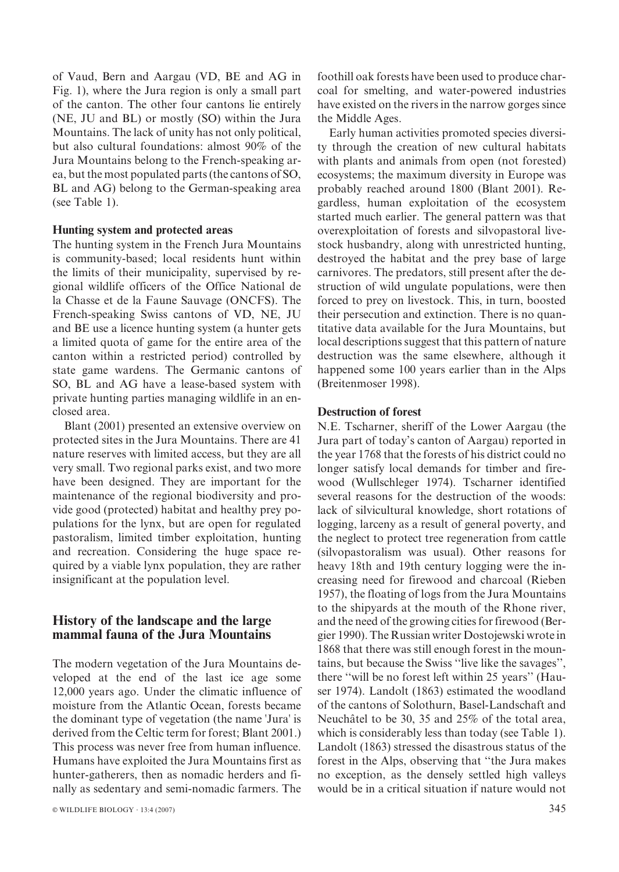of Vaud, Bern and Aargau (VD, BE and AG in Fig. 1), where the Jura region is only a small part of the canton. The other four cantons lie entirely (NE, JU and BL) or mostly (SO) within the Jura Mountains. The lack of unity has not only political, but also cultural foundations: almost 90% of the Jura Mountains belong to the French-speaking area, but the most populated parts (the cantons of SO, BL and AG) belong to the German-speaking area (see Table 1).

#### Hunting system and protected areas

The hunting system in the French Jura Mountains is community-based; local residents hunt within the limits of their municipality, supervised by regional wildlife officers of the Office National de la Chasse et de la Faune Sauvage (ONCFS). The French-speaking Swiss cantons of VD, NE, JU and BE use a licence hunting system (a hunter gets a limited quota of game for the entire area of the canton within a restricted period) controlled by state game wardens. The Germanic cantons of SO, BL and AG have a lease-based system with private hunting parties managing wildlife in an enclosed area.

Blant (2001) presented an extensive overview on protected sites in the Jura Mountains. There are 41 nature reserves with limited access, but they are all very small. Two regional parks exist, and two more have been designed. They are important for the maintenance of the regional biodiversity and provide good (protected) habitat and healthy prey populations for the lynx, but are open for regulated pastoralism, limited timber exploitation, hunting and recreation. Considering the huge space required by a viable lynx population, they are rather insignificant at the population level.

# History of the landscape and the large mammal fauna of the Jura Mountains

The modern vegetation of the Jura Mountains developed at the end of the last ice age some 12,000 years ago. Under the climatic influence of moisture from the Atlantic Ocean, forests became the dominant type of vegetation (the name 'Jura' is derived from the Celtic term for forest; Blant 2001.) This process was never free from human influence. Humans have exploited the Jura Mountains first as hunter-gatherers, then as nomadic herders and finally as sedentary and semi-nomadic farmers. The foothill oak forests have been used to produce charcoal for smelting, and water-powered industries have existed on the rivers in the narrow gorges since the Middle Ages.

Early human activities promoted species diversity through the creation of new cultural habitats with plants and animals from open (not forested) ecosystems; the maximum diversity in Europe was probably reached around 1800 (Blant 2001). Regardless, human exploitation of the ecosystem started much earlier. The general pattern was that overexploitation of forests and silvopastoral livestock husbandry, along with unrestricted hunting, destroyed the habitat and the prey base of large carnivores. The predators, still present after the destruction of wild ungulate populations, were then forced to prey on livestock. This, in turn, boosted their persecution and extinction. There is no quantitative data available for the Jura Mountains, but local descriptions suggest that this pattern of nature destruction was the same elsewhere, although it happened some 100 years earlier than in the Alps (Breitenmoser 1998).

#### Destruction of forest

N.E. Tscharner, sheriff of the Lower Aargau (the Jura part of today's canton of Aargau) reported in the year 1768 that the forests of his district could no longer satisfy local demands for timber and firewood (Wullschleger 1974). Tscharner identified several reasons for the destruction of the woods: lack of silvicultural knowledge, short rotations of logging, larceny as a result of general poverty, and the neglect to protect tree regeneration from cattle (silvopastoralism was usual). Other reasons for heavy 18th and 19th century logging were the increasing need for firewood and charcoal (Rieben 1957), the floating of logs from the Jura Mountains to the shipyards at the mouth of the Rhone river, and the need of the growing cities for firewood (Bergier 1990). The Russian writer Dostojewski wrote in 1868 that there was still enough forest in the mountains, but because the Swiss ''live like the savages'', there ''will be no forest left within 25 years'' (Hauser 1974). Landolt (1863) estimated the woodland of the cantons of Solothurn, Basel-Landschaft and Neuchâtel to be 30, 35 and 25% of the total area, which is considerably less than today (see Table 1). Landolt (1863) stressed the disastrous status of the forest in the Alps, observing that ''the Jura makes no exception, as the densely settled high valleys would be in a critical situation if nature would not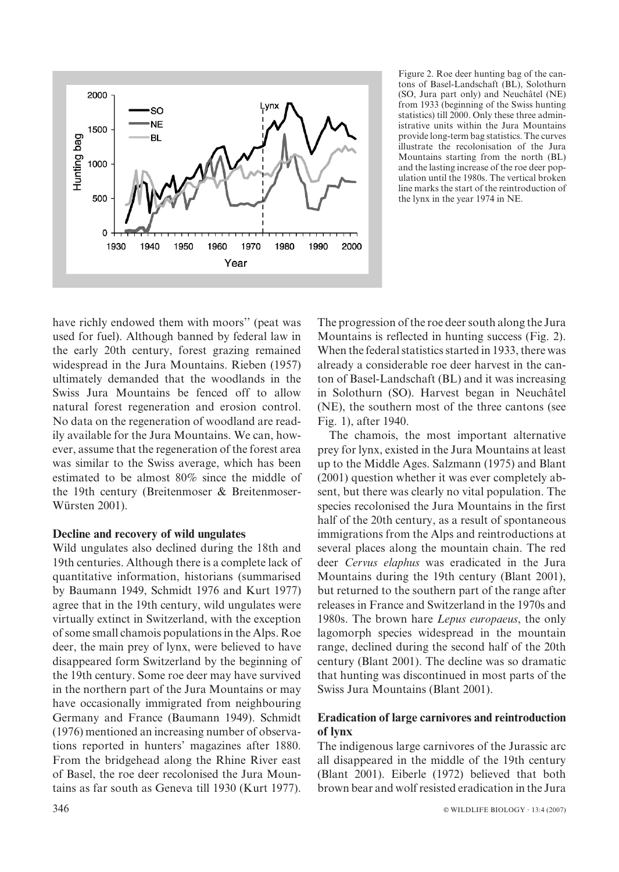

Figure 2. Roe deer hunting bag of the cantons of Basel-Landschaft (BL), Solothurn (SO, Jura part only) and Neuchâtel (NE) from 1933 (beginning of the Swiss hunting statistics) till 2000. Only these three administrative units within the Jura Mountains provide long-term bag statistics. The curves illustrate the recolonisation of the Jura Mountains starting from the north (BL) and the lasting increase of the roe deer population until the 1980s. The vertical broken line marks the start of the reintroduction of the lynx in the year 1974 in NE.

have richly endowed them with moors'' (peat was used for fuel). Although banned by federal law in the early 20th century, forest grazing remained widespread in the Jura Mountains. Rieben (1957) ultimately demanded that the woodlands in the Swiss Jura Mountains be fenced off to allow natural forest regeneration and erosion control. No data on the regeneration of woodland are readily available for the Jura Mountains. We can, however, assume that the regeneration of the forest area was similar to the Swiss average, which has been estimated to be almost 80% since the middle of the 19th century (Breitenmoser & Breitenmoser-Würsten 2001).

## Decline and recovery of wild ungulates

Wild ungulates also declined during the 18th and 19th centuries. Although there is a complete lack of quantitative information, historians (summarised by Baumann 1949, Schmidt 1976 and Kurt 1977) agree that in the 19th century, wild ungulates were virtually extinct in Switzerland, with the exception of some small chamois populations in the Alps. Roe deer, the main prey of lynx, were believed to have disappeared form Switzerland by the beginning of the 19th century. Some roe deer may have survived in the northern part of the Jura Mountains or may have occasionally immigrated from neighbouring Germany and France (Baumann 1949). Schmidt (1976) mentioned an increasing number of observations reported in hunters' magazines after 1880. From the bridgehead along the Rhine River east of Basel, the roe deer recolonised the Jura Mountains as far south as Geneva till 1930 (Kurt 1977). The progression of the roe deer south along the Jura Mountains is reflected in hunting success (Fig. 2). When the federal statistics started in 1933, there was already a considerable roe deer harvest in the canton of Basel-Landschaft (BL) and it was increasing in Solothurn (SO). Harvest began in Neuchâtel (NE), the southern most of the three cantons (see Fig. 1), after 1940.

The chamois, the most important alternative prey for lynx, existed in the Jura Mountains at least up to the Middle Ages. Salzmann (1975) and Blant (2001) question whether it was ever completely absent, but there was clearly no vital population. The species recolonised the Jura Mountains in the first half of the 20th century, as a result of spontaneous immigrations from the Alps and reintroductions at several places along the mountain chain. The red deer Cervus elaphus was eradicated in the Jura Mountains during the 19th century (Blant 2001), but returned to the southern part of the range after releases in France and Switzerland in the 1970s and 1980s. The brown hare Lepus europaeus, the only lagomorph species widespread in the mountain range, declined during the second half of the 20th century (Blant 2001). The decline was so dramatic that hunting was discontinued in most parts of the Swiss Jura Mountains (Blant 2001).

# Eradication of large carnivores and reintroduction of lynx

The indigenous large carnivores of the Jurassic arc all disappeared in the middle of the 19th century (Blant 2001). Eiberle (1972) believed that both brown bear and wolf resisted eradication in the Jura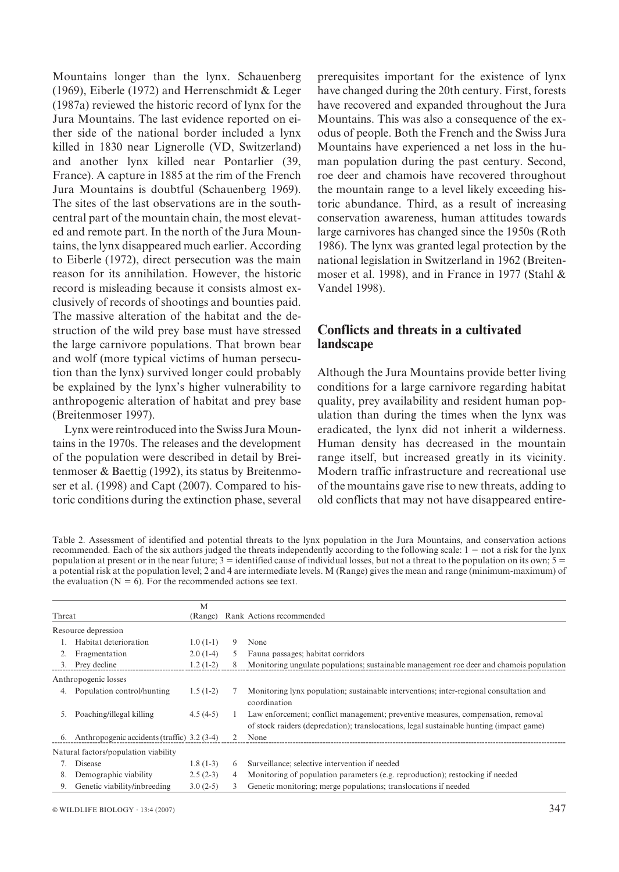Mountains longer than the lynx. Schauenberg (1969), Eiberle (1972) and Herrenschmidt & Leger (1987a) reviewed the historic record of lynx for the Jura Mountains. The last evidence reported on either side of the national border included a lynx killed in 1830 near Lignerolle (VD, Switzerland) and another lynx killed near Pontarlier (39, France). A capture in 1885 at the rim of the French Jura Mountains is doubtful (Schauenberg 1969). The sites of the last observations are in the southcentral part of the mountain chain, the most elevated and remote part. In the north of the Jura Mountains, the lynx disappeared much earlier. According to Eiberle (1972), direct persecution was the main reason for its annihilation. However, the historic record is misleading because it consists almost exclusively of records of shootings and bounties paid. The massive alteration of the habitat and the destruction of the wild prey base must have stressed the large carnivore populations. That brown bear and wolf (more typical victims of human persecution than the lynx) survived longer could probably be explained by the lynx's higher vulnerability to anthropogenic alteration of habitat and prey base (Breitenmoser 1997).

Lynx were reintroduced into the Swiss Jura Mountains in the 1970s. The releases and the development of the population were described in detail by Breitenmoser & Baettig (1992), its status by Breitenmoser et al. (1998) and Capt (2007). Compared to historic conditions during the extinction phase, several prerequisites important for the existence of lynx have changed during the 20th century. First, forests have recovered and expanded throughout the Jura Mountains. This was also a consequence of the exodus of people. Both the French and the Swiss Jura Mountains have experienced a net loss in the human population during the past century. Second, roe deer and chamois have recovered throughout the mountain range to a level likely exceeding historic abundance. Third, as a result of increasing conservation awareness, human attitudes towards large carnivores has changed since the 1950s (Roth 1986). The lynx was granted legal protection by the national legislation in Switzerland in 1962 (Breitenmoser et al. 1998), and in France in 1977 (Stahl & Vandel 1998).

# Conflicts and threats in a cultivated landscape

Although the Jura Mountains provide better living conditions for a large carnivore regarding habitat quality, prey availability and resident human population than during the times when the lynx was eradicated, the lynx did not inherit a wilderness. Human density has decreased in the mountain range itself, but increased greatly in its vicinity. Modern traffic infrastructure and recreational use of the mountains gave rise to new threats, adding to old conflicts that may not have disappeared entire-

Table 2. Assessment of identified and potential threats to the lynx population in the Jura Mountains, and conservation actions recommended. Each of the six authors judged the threats independently according to the following scale:  $1 = not a risk for the lysx$ population at present or in the near future;  $3 =$  identified cause of individual losses, but not a threat to the population on its own;  $5 =$ a potential risk at the population level; 2 and 4 are intermediate levels. M (Range) gives the mean and range (minimum-maximum) of the evaluation ( $N = 6$ ). For the recommended actions see text.

| Threat |                                                | M<br>(Range) |   | Rank Actions recommended                                                                                                                                                    |
|--------|------------------------------------------------|--------------|---|-----------------------------------------------------------------------------------------------------------------------------------------------------------------------------|
|        | Resource depression                            |              |   |                                                                                                                                                                             |
|        | Habitat deterioration                          | $1.0(1-1)$   | 9 | None                                                                                                                                                                        |
| 2.     | Fragmentation                                  | $2.0(1-4)$   | 5 | Fauna passages; habitat corridors                                                                                                                                           |
| 3.     | Prey decline                                   | $1.2(1-2)$   | 8 | Monitoring ungulate populations; sustainable management roe deer and chamois population                                                                                     |
|        | Anthropogenic losses                           |              |   |                                                                                                                                                                             |
| 4.     | Population control/hunting                     | $1.5(1-2)$   |   | Monitoring lynx population; sustainable interventions; inter-regional consultation and<br>coordination                                                                      |
| 5.     | Poaching/illegal killing                       | $4.5(4-5)$   |   | Law enforcement; conflict management; preventive measures, compensation, removal<br>of stock raiders (depredation); translocations, legal sustainable hunting (impact game) |
|        | 6. Anthropogenic accidents (traffic) 3.2 (3-4) |              |   | None                                                                                                                                                                        |
|        | Natural factors/population viability           |              |   |                                                                                                                                                                             |
|        | Disease                                        | $1.8(1-3)$   | 6 | Surveillance; selective intervention if needed                                                                                                                              |
| 8.     | Demographic viability                          | $2.5(2-3)$   | 4 | Monitoring of population parameters (e.g. reproduction); restocking if needed                                                                                               |
| 9.     | Genetic viability/inbreeding                   | $3.0(2-5)$   | 3 | Genetic monitoring; merge populations; translocations if needed                                                                                                             |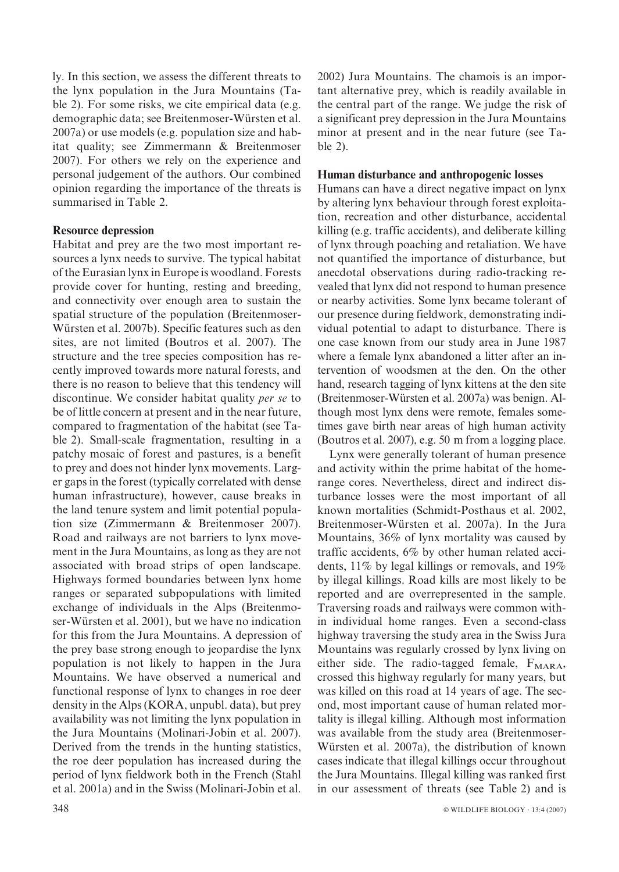ly. In this section, we assess the different threats to the lynx population in the Jura Mountains (Table 2). For some risks, we cite empirical data (e.g. demographic data; see Breitenmoser-Würsten et al. 2007a) or use models (e.g. population size and habitat quality; see Zimmermann & Breitenmoser 2007). For others we rely on the experience and personal judgement of the authors. Our combined opinion regarding the importance of the threats is summarised in Table 2.

### Resource depression

Habitat and prey are the two most important resources a lynx needs to survive. The typical habitat of the Eurasian lynx in Europe is woodland. Forests provide cover for hunting, resting and breeding, and connectivity over enough area to sustain the spatial structure of the population (Breitenmoser-Würsten et al. 2007b). Specific features such as den sites, are not limited (Boutros et al. 2007). The structure and the tree species composition has recently improved towards more natural forests, and there is no reason to believe that this tendency will discontinue. We consider habitat quality per se to be of little concern at present and in the near future, compared to fragmentation of the habitat (see Table 2). Small-scale fragmentation, resulting in a patchy mosaic of forest and pastures, is a benefit to prey and does not hinder lynx movements. Larger gaps in the forest (typically correlated with dense human infrastructure), however, cause breaks in the land tenure system and limit potential population size (Zimmermann & Breitenmoser 2007). Road and railways are not barriers to lynx movement in the Jura Mountains, as long as they are not associated with broad strips of open landscape. Highways formed boundaries between lynx home ranges or separated subpopulations with limited exchange of individuals in the Alps (Breitenmoser-Würsten et al. 2001), but we have no indication for this from the Jura Mountains. A depression of the prey base strong enough to jeopardise the lynx population is not likely to happen in the Jura Mountains. We have observed a numerical and functional response of lynx to changes in roe deer density in the Alps (KORA, unpubl. data), but prey availability was not limiting the lynx population in the Jura Mountains (Molinari-Jobin et al. 2007). Derived from the trends in the hunting statistics, the roe deer population has increased during the period of lynx fieldwork both in the French (Stahl et al. 2001a) and in the Swiss (Molinari-Jobin et al.

2002) Jura Mountains. The chamois is an important alternative prey, which is readily available in the central part of the range. We judge the risk of a significant prey depression in the Jura Mountains minor at present and in the near future (see Table 2).

### Human disturbance and anthropogenic losses

Humans can have a direct negative impact on lynx by altering lynx behaviour through forest exploitation, recreation and other disturbance, accidental killing (e.g. traffic accidents), and deliberate killing of lynx through poaching and retaliation. We have not quantified the importance of disturbance, but anecdotal observations during radio-tracking revealed that lynx did not respond to human presence or nearby activities. Some lynx became tolerant of our presence during fieldwork, demonstrating individual potential to adapt to disturbance. There is one case known from our study area in June 1987 where a female lynx abandoned a litter after an intervention of woodsmen at the den. On the other hand, research tagging of lynx kittens at the den site (Breitenmoser-Wu¨rsten et al. 2007a) was benign. Although most lynx dens were remote, females sometimes gave birth near areas of high human activity (Boutros et al. 2007), e.g. 50 m from a logging place.

Lynx were generally tolerant of human presence and activity within the prime habitat of the homerange cores. Nevertheless, direct and indirect disturbance losses were the most important of all known mortalities (Schmidt-Posthaus et al. 2002, Breitenmoser-Würsten et al. 2007a). In the Jura Mountains, 36% of lynx mortality was caused by traffic accidents, 6% by other human related accidents, 11% by legal killings or removals, and 19% by illegal killings. Road kills are most likely to be reported and are overrepresented in the sample. Traversing roads and railways were common within individual home ranges. Even a second-class highway traversing the study area in the Swiss Jura Mountains was regularly crossed by lynx living on either side. The radio-tagged female,  $F_{\text{MARA}}$ , crossed this highway regularly for many years, but was killed on this road at 14 years of age. The second, most important cause of human related mortality is illegal killing. Although most information was available from the study area (Breitenmoser-Würsten et al. 2007a), the distribution of known cases indicate that illegal killings occur throughout the Jura Mountains. Illegal killing was ranked first in our assessment of threats (see Table 2) and is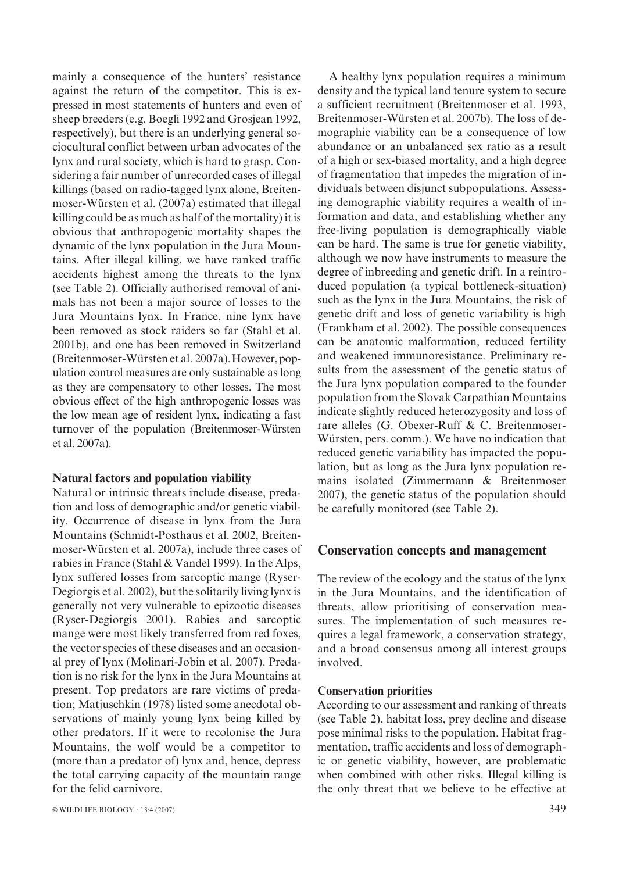mainly a consequence of the hunters' resistance against the return of the competitor. This is expressed in most statements of hunters and even of sheep breeders (e.g. Boegli 1992 and Grosjean 1992, respectively), but there is an underlying general sociocultural conflict between urban advocates of the lynx and rural society, which is hard to grasp. Considering a fair number of unrecorded cases of illegal killings (based on radio-tagged lynx alone, Breitenmoser-Würsten et al. (2007a) estimated that illegal killing could be as much as half of the mortality) it is obvious that anthropogenic mortality shapes the dynamic of the lynx population in the Jura Mountains. After illegal killing, we have ranked traffic accidents highest among the threats to the lynx (see Table 2). Officially authorised removal of animals has not been a major source of losses to the Jura Mountains lynx. In France, nine lynx have been removed as stock raiders so far (Stahl et al. 2001b), and one has been removed in Switzerland (Breitenmoser-Würsten et al. 2007a). However, population control measures are only sustainable as long as they are compensatory to other losses. The most obvious effect of the high anthropogenic losses was the low mean age of resident lynx, indicating a fast turnover of the population (Breitenmoser-Würsten et al. 2007a).

#### Natural factors and population viability

Natural or intrinsic threats include disease, predation and loss of demographic and/or genetic viability. Occurrence of disease in lynx from the Jura Mountains (Schmidt-Posthaus et al. 2002, Breitenmoser-Würsten et al. 2007a), include three cases of rabies in France (Stahl & Vandel 1999). In the Alps, lynx suffered losses from sarcoptic mange (Ryser-Degiorgis et al. 2002), but the solitarily living lynx is generally not very vulnerable to epizootic diseases (Ryser-Degiorgis 2001). Rabies and sarcoptic mange were most likely transferred from red foxes, the vector species of these diseases and an occasional prey of lynx (Molinari-Jobin et al. 2007). Predation is no risk for the lynx in the Jura Mountains at present. Top predators are rare victims of predation; Matjuschkin (1978) listed some anecdotal observations of mainly young lynx being killed by other predators. If it were to recolonise the Jura Mountains, the wolf would be a competitor to (more than a predator of) lynx and, hence, depress the total carrying capacity of the mountain range for the felid carnivore.

A healthy lynx population requires a minimum density and the typical land tenure system to secure a sufficient recruitment (Breitenmoser et al. 1993, Breitenmoser-Würsten et al. 2007b). The loss of demographic viability can be a consequence of low abundance or an unbalanced sex ratio as a result of a high or sex-biased mortality, and a high degree of fragmentation that impedes the migration of individuals between disjunct subpopulations. Assessing demographic viability requires a wealth of information and data, and establishing whether any free-living population is demographically viable can be hard. The same is true for genetic viability, although we now have instruments to measure the degree of inbreeding and genetic drift. In a reintroduced population (a typical bottleneck-situation) such as the lynx in the Jura Mountains, the risk of genetic drift and loss of genetic variability is high (Frankham et al. 2002). The possible consequences can be anatomic malformation, reduced fertility and weakened immunoresistance. Preliminary results from the assessment of the genetic status of the Jura lynx population compared to the founder population from the Slovak Carpathian Mountains indicate slightly reduced heterozygosity and loss of rare alleles (G. Obexer-Ruff & C. Breitenmoser-Würsten, pers. comm.). We have no indication that reduced genetic variability has impacted the population, but as long as the Jura lynx population remains isolated (Zimmermann & Breitenmoser 2007), the genetic status of the population should be carefully monitored (see Table 2).

## Conservation concepts and management

The review of the ecology and the status of the lynx in the Jura Mountains, and the identification of threats, allow prioritising of conservation measures. The implementation of such measures requires a legal framework, a conservation strategy, and a broad consensus among all interest groups involved.

#### Conservation priorities

According to our assessment and ranking of threats (see Table 2), habitat loss, prey decline and disease pose minimal risks to the population. Habitat fragmentation, traffic accidents and loss of demographic or genetic viability, however, are problematic when combined with other risks. Illegal killing is the only threat that we believe to be effective at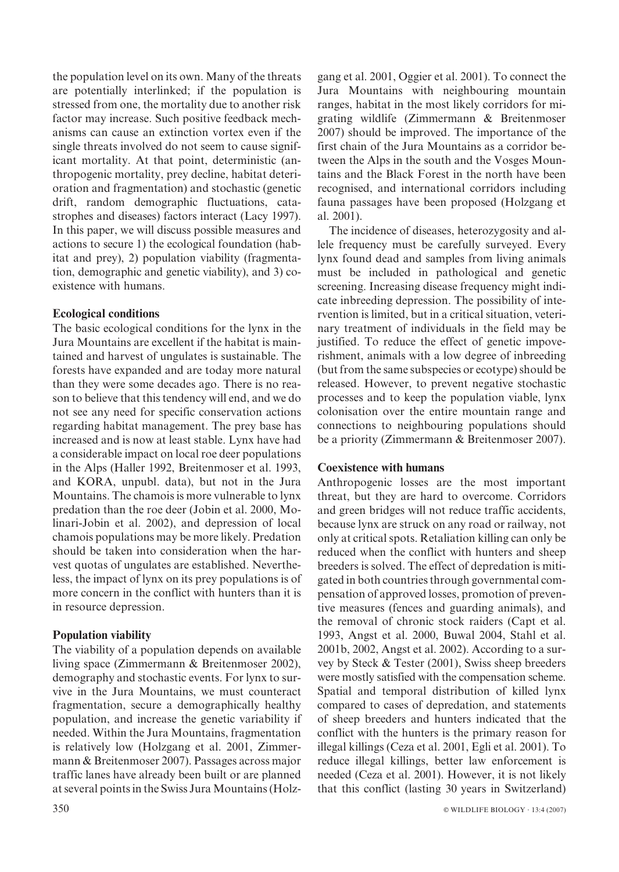the population level on its own. Many of the threats are potentially interlinked; if the population is stressed from one, the mortality due to another risk factor may increase. Such positive feedback mechanisms can cause an extinction vortex even if the single threats involved do not seem to cause significant mortality. At that point, deterministic (anthropogenic mortality, prey decline, habitat deterioration and fragmentation) and stochastic (genetic drift, random demographic fluctuations, catastrophes and diseases) factors interact (Lacy 1997). In this paper, we will discuss possible measures and actions to secure 1) the ecological foundation (habitat and prey), 2) population viability (fragmentation, demographic and genetic viability), and 3) coexistence with humans.

## Ecological conditions

The basic ecological conditions for the lynx in the Jura Mountains are excellent if the habitat is maintained and harvest of ungulates is sustainable. The forests have expanded and are today more natural than they were some decades ago. There is no reason to believe that this tendency will end, and we do not see any need for specific conservation actions regarding habitat management. The prey base has increased and is now at least stable. Lynx have had a considerable impact on local roe deer populations in the Alps (Haller 1992, Breitenmoser et al. 1993, and KORA, unpubl. data), but not in the Jura Mountains. The chamois is more vulnerable to lynx predation than the roe deer (Jobin et al. 2000, Molinari-Jobin et al. 2002), and depression of local chamois populations may be more likely. Predation should be taken into consideration when the harvest quotas of ungulates are established. Nevertheless, the impact of lynx on its prey populations is of more concern in the conflict with hunters than it is in resource depression.

## Population viability

The viability of a population depends on available living space (Zimmermann & Breitenmoser 2002), demography and stochastic events. For lynx to survive in the Jura Mountains, we must counteract fragmentation, secure a demographically healthy population, and increase the genetic variability if needed. Within the Jura Mountains, fragmentation is relatively low (Holzgang et al. 2001, Zimmermann & Breitenmoser 2007). Passages across major traffic lanes have already been built or are planned at several points in the Swiss Jura Mountains (Holzgang et al. 2001, Oggier et al. 2001). To connect the Jura Mountains with neighbouring mountain ranges, habitat in the most likely corridors for migrating wildlife (Zimmermann & Breitenmoser 2007) should be improved. The importance of the first chain of the Jura Mountains as a corridor between the Alps in the south and the Vosges Mountains and the Black Forest in the north have been recognised, and international corridors including fauna passages have been proposed (Holzgang et al. 2001).

The incidence of diseases, heterozygosity and allele frequency must be carefully surveyed. Every lynx found dead and samples from living animals must be included in pathological and genetic screening. Increasing disease frequency might indicate inbreeding depression. The possibility of intervention is limited, but in a critical situation, veterinary treatment of individuals in the field may be justified. To reduce the effect of genetic impoverishment, animals with a low degree of inbreeding (but from the same subspecies or ecotype) should be released. However, to prevent negative stochastic processes and to keep the population viable, lynx colonisation over the entire mountain range and connections to neighbouring populations should be a priority (Zimmermann & Breitenmoser 2007).

## Coexistence with humans

Anthropogenic losses are the most important threat, but they are hard to overcome. Corridors and green bridges will not reduce traffic accidents, because lynx are struck on any road or railway, not only at critical spots. Retaliation killing can only be reduced when the conflict with hunters and sheep breeders is solved. The effect of depredation is mitigated in both countries through governmental compensation of approved losses, promotion of preventive measures (fences and guarding animals), and the removal of chronic stock raiders (Capt et al. 1993, Angst et al. 2000, Buwal 2004, Stahl et al. 2001b, 2002, Angst et al. 2002). According to a survey by Steck & Tester (2001), Swiss sheep breeders were mostly satisfied with the compensation scheme. Spatial and temporal distribution of killed lynx compared to cases of depredation, and statements of sheep breeders and hunters indicated that the conflict with the hunters is the primary reason for illegal killings (Ceza et al. 2001, Egli et al. 2001). To reduce illegal killings, better law enforcement is needed (Ceza et al. 2001). However, it is not likely that this conflict (lasting 30 years in Switzerland)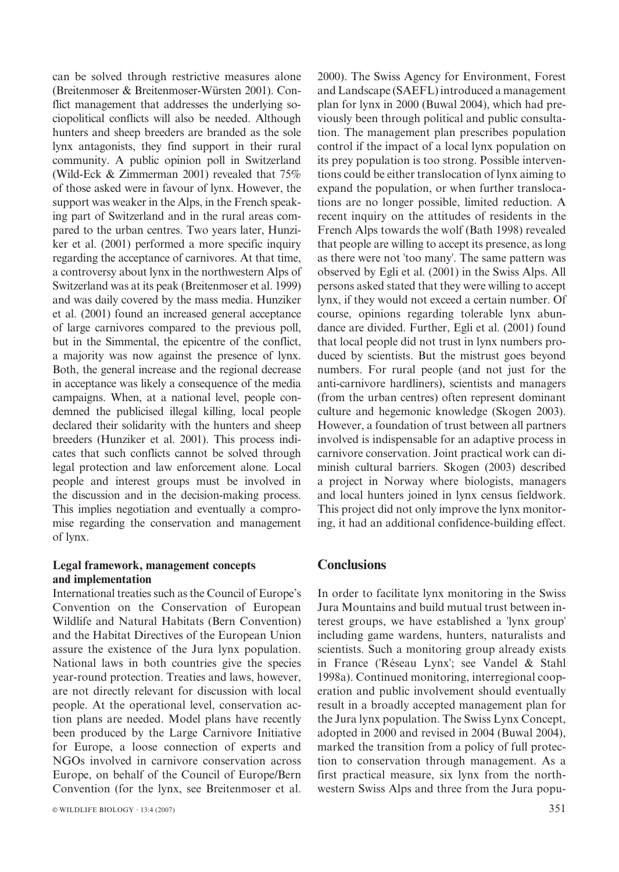can be solved through restrictive measures alone (Breitenmoser & Breitenmoser-Würsten 2001). Conflict management that addresses the underlying sociopolitical conflicts will also be needed. Although hunters and sheep breeders are branded as the sole lynx antagonists, they find support in their rural community. A public opinion poll in Switzerland (Wild-Eck & Zimmerman 2001) revealed that 75% of those asked were in favour of lynx. However, the support was weaker in the Alps, in the French speaking part of Switzerland and in the rural areas compared to the urban centres. Two years later, Hunziker et al. (2001) performed a more specific inquiry regarding the acceptance of carnivores. At that time, a controversy about lynx in the northwestern Alps of Switzerland was at its peak (Breitenmoser et al. 1999) and was daily covered by the mass media. Hunziker et al. (2001) found an increased general acceptance of large carnivores compared to the previous poll, but in the Simmental, the epicentre of the conflict, a majority was now against the presence of lynx. Both, the general increase and the regional decrease in acceptance was likely a consequence of the media campaigns. When, at a national level, people condemned the publicised illegal killing, local people declared their solidarity with the hunters and sheep breeders (Hunziker et al. 2001). This process indicates that such conflicts cannot be solved through legal protection and law enforcement alone. Local people and interest groups must be involved in the discussion and in the decision-making process. This implies negotiation and eventually a compromise regarding the conservation and management of lynx.

### Legal framework, management concepts and implementation

International treaties such as the Council of Europe's Convention on the Conservation of European Wildlife and Natural Habitats (Bern Convention) and the Habitat Directives of the European Union assure the existence of the Jura lynx population. National laws in both countries give the species year-round protection. Treaties and laws, however, are not directly relevant for discussion with local people. At the operational level, conservation action plans are needed. Model plans have recently been produced by the Large Carnivore Initiative for Europe, a loose connection of experts and NGOs involved in carnivore conservation across Europe, on behalf of the Council of Europe/Bern Convention (for the lynx, see Breitenmoser et al.

2000). The Swiss Agency for Environment, Forest and Landscape (SAEFL) introduced a management plan for lynx in 2000 (Buwal 2004), which had previously been through political and public consultation. The management plan prescribes population control if the impact of a local lynx population on its prey population is too strong. Possible interventions could be either translocation of lynx aiming to expand the population, or when further translocations are no longer possible, limited reduction. A recent inquiry on the attitudes of residents in the French Alps towards the wolf (Bath 1998) revealed that people are willing to accept its presence, as long as there were not 'too many'. The same pattern was observed by Egli et al. (2001) in the Swiss Alps. All persons asked stated that they were willing to accept lynx, if they would not exceed a certain number. Of course, opinions regarding tolerable lynx abundance are divided. Further, Egli et al. (2001) found that local people did not trust in lynx numbers produced by scientists. But the mistrust goes beyond numbers. For rural people (and not just for the anti-carnivore hardliners), scientists and managers (from the urban centres) often represent dominant culture and hegemonic knowledge (Skogen 2003). However, a foundation of trust between all partners involved is indispensable for an adaptive process in carnivore conservation. Joint practical work can diminish cultural barriers. Skogen (2003) described a project in Norway where biologists, managers and local hunters joined in lynx census fieldwork. This project did not only improve the lynx monitoring, it had an additional confidence-building effect.

# **Conclusions**

In order to facilitate lynx monitoring in the Swiss Jura Mountains and build mutual trust between interest groups, we have established a 'lynx group' including game wardens, hunters, naturalists and scientists. Such a monitoring group already exists in France ('Réseau Lynx'; see Vandel & Stahl 1998a). Continued monitoring, interregional cooperation and public involvement should eventually result in a broadly accepted management plan for the Jura lynx population. The Swiss Lynx Concept, adopted in 2000 and revised in 2004 (Buwal 2004), marked the transition from a policy of full protection to conservation through management. As a first practical measure, six lynx from the northwestern Swiss Alps and three from the Jura popu-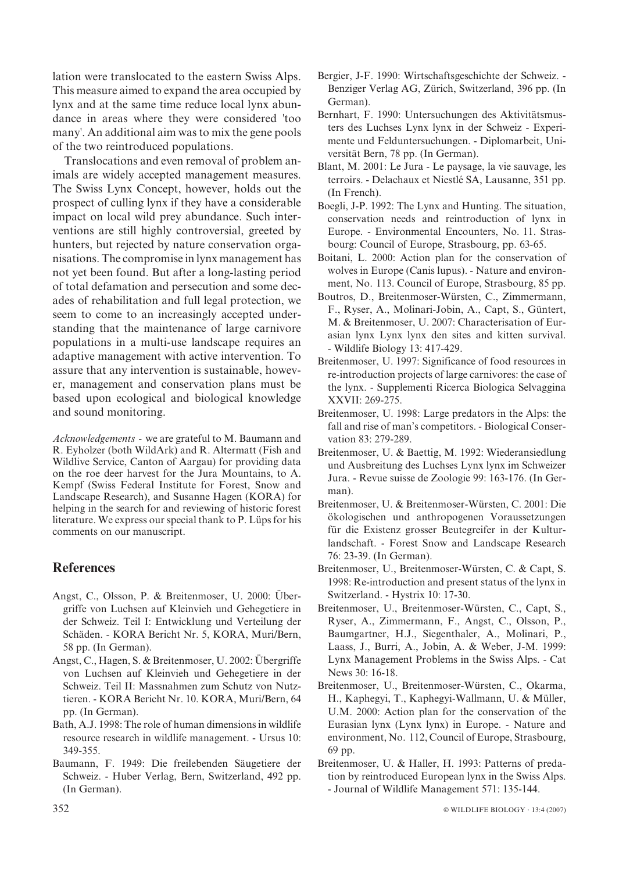lation were translocated to the eastern Swiss Alps. This measure aimed to expand the area occupied by lynx and at the same time reduce local lynx abundance in areas where they were considered 'too many'. An additional aim was to mix the gene pools of the two reintroduced populations.

Translocations and even removal of problem animals are widely accepted management measures. The Swiss Lynx Concept, however, holds out the prospect of culling lynx if they have a considerable impact on local wild prey abundance. Such interventions are still highly controversial, greeted by hunters, but rejected by nature conservation organisations. The compromise in lynx management has not yet been found. But after a long-lasting period of total defamation and persecution and some decades of rehabilitation and full legal protection, we seem to come to an increasingly accepted understanding that the maintenance of large carnivore populations in a multi-use landscape requires an adaptive management with active intervention. To assure that any intervention is sustainable, however, management and conservation plans must be based upon ecological and biological knowledge and sound monitoring.

Acknowledgements - we are grateful to M. Baumann and R. Eyholzer (both WildArk) and R. Altermatt (Fish and Wildlive Service, Canton of Aargau) for providing data on the roe deer harvest for the Jura Mountains, to A. Kempf (Swiss Federal Institute for Forest, Snow and Landscape Research), and Susanne Hagen (KORA) for helping in the search for and reviewing of historic forest literature. We express our special thank to P. Lüps for his comments on our manuscript.

# **References**

- Angst, C., Olsson, P. & Breitenmoser, U. 2000: Übergriffe von Luchsen auf Kleinvieh und Gehegetiere in der Schweiz. Teil I: Entwicklung und Verteilung der Schäden. - KORA Bericht Nr. 5, KORA, Muri/Bern, 58 pp. (In German).
- Angst, C., Hagen, S. & Breitenmoser, U. 2002: Übergriffe von Luchsen auf Kleinvieh und Gehegetiere in der Schweiz. Teil II: Massnahmen zum Schutz von Nutztieren. - KORA Bericht Nr. 10. KORA, Muri/Bern, 64 pp. (In German).
- Bath, A.J. 1998: The role of human dimensions in wildlife resource research in wildlife management. - Ursus 10: 349-355.
- Baumann, F. 1949: Die freilebenden Säugetiere der Schweiz. - Huber Verlag, Bern, Switzerland, 492 pp. (In German).
- Bergier, J-F. 1990: Wirtschaftsgeschichte der Schweiz. Benziger Verlag AG, Zürich, Switzerland, 396 pp. (In German).
- Bernhart, F. 1990: Untersuchungen des Aktivitätsmusters des Luchses Lynx lynx in der Schweiz - Experimente und Felduntersuchungen. - Diplomarbeit, Universität Bern, 78 pp. (In German).
- Blant, M. 2001: Le Jura Le paysage, la vie sauvage, les terroirs. - Delachaux et Niestlé SA, Lausanne, 351 pp. (In French).
- Boegli, J-P. 1992: The Lynx and Hunting. The situation, conservation needs and reintroduction of lynx in Europe. - Environmental Encounters, No. 11. Strasbourg: Council of Europe, Strasbourg, pp. 63-65.
- Boitani, L. 2000: Action plan for the conservation of wolves in Europe (Canis lupus). - Nature and environment, No. 113. Council of Europe, Strasbourg, 85 pp.
- Boutros, D., Breitenmoser-Würsten, C., Zimmermann, F., Ryser, A., Molinari-Jobin, A., Capt, S., Güntert, M. & Breitenmoser, U. 2007: Characterisation of Eurasian lynx Lynx lynx den sites and kitten survival. - Wildlife Biology 13: 417-429.
- Breitenmoser, U. 1997: Significance of food resources in re-introduction projects of large carnivores: the case of the lynx. - Supplementi Ricerca Biologica Selvaggina XXVII: 269-275.
- Breitenmoser, U. 1998: Large predators in the Alps: the fall and rise of man's competitors. - Biological Conservation 83: 279-289.
- Breitenmoser, U. & Baettig, M. 1992: Wiederansiedlung und Ausbreitung des Luchses Lynx lynx im Schweizer Jura. - Revue suisse de Zoologie 99: 163-176. (In German).
- Breitenmoser, U. & Breitenmoser-Würsten, C. 2001: Die ökologischen und anthropogenen Voraussetzungen für die Existenz grosser Beutegreifer in der Kulturlandschaft. - Forest Snow and Landscape Research 76: 23-39. (In German).
- Breitenmoser, U., Breitenmoser-Würsten, C. & Capt, S. 1998: Re-introduction and present status of the lynx in Switzerland. - Hystrix 10: 17-30.
- Breitenmoser, U., Breitenmoser-Würsten, C., Capt, S., Ryser, A., Zimmermann, F., Angst, C., Olsson, P., Baumgartner, H.J., Siegenthaler, A., Molinari, P., Laass, J., Burri, A., Jobin, A. & Weber, J-M. 1999: Lynx Management Problems in the Swiss Alps. - Cat News 30: 16-18.
- Breitenmoser, U., Breitenmoser-Würsten, C., Okarma, H., Kaphegyi, T., Kaphegyi-Wallmann, U. & Müller, U.M. 2000: Action plan for the conservation of the Eurasian lynx (Lynx lynx) in Europe. - Nature and environment, No. 112, Council of Europe, Strasbourg, 69 pp.
- Breitenmoser, U. & Haller, H. 1993: Patterns of predation by reintroduced European lynx in the Swiss Alps. - Journal of Wildlife Management 571: 135-144.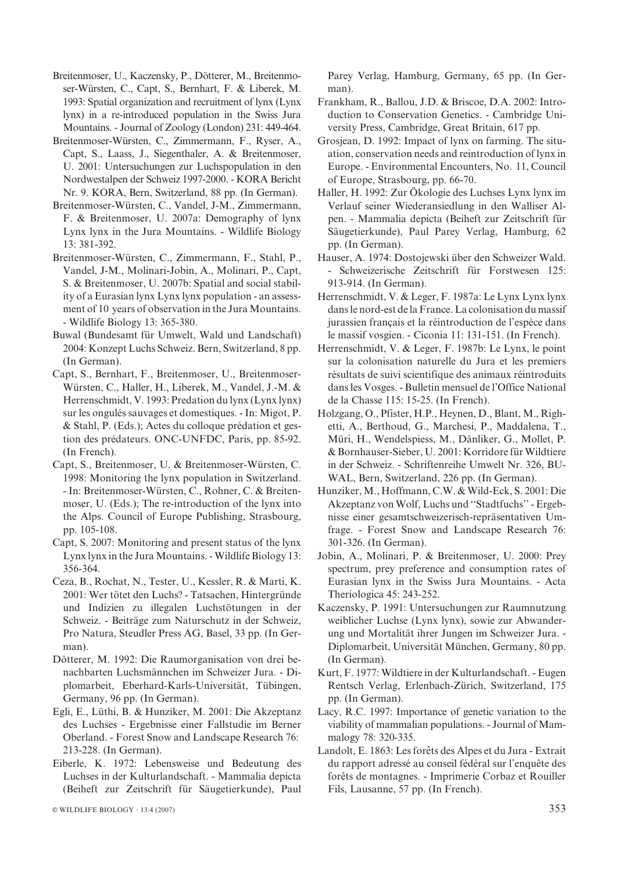- Breitenmoser, U., Kaczensky, P., Dötterer, M., Breitenmoser-Würsten, C., Capt, S., Bernhart, F. & Liberek, M. 1993: Spatial organization and recruitment of lynx (Lynx lynx) in a re-introduced population in the Swiss Jura Mountains. - Journal of Zoology (London) 231: 449-464.
- Breitenmoser-Wu¨rsten, C., Zimmermann, F., Ryser, A., Capt, S., Laass, J., Siegenthaler, A. & Breitenmoser, U. 2001: Untersuchungen zur Luchspopulation in den Nordwestalpen der Schweiz 1997-2000. - KORA Bericht Nr. 9. KORA, Bern, Switzerland, 88 pp. (In German).
- Breitenmoser-Wu¨rsten, C., Vandel, J-M., Zimmermann, F. & Breitenmoser, U. 2007a: Demography of lynx Lynx lynx in the Jura Mountains. - Wildlife Biology 13: 381-392.
- Breitenmoser-Wu¨rsten, C., Zimmermann, F., Stahl, P., Vandel, J-M., Molinari-Jobin, A., Molinari, P., Capt, S. & Breitenmoser, U. 2007b: Spatial and social stability of a Eurasian lynx Lynx lynx population - an assessment of 10 years of observation in the Jura Mountains. - Wildlife Biology 13: 365-380.
- Buwal (Bundesamt für Umwelt, Wald und Landschaft) 2004: Konzept Luchs Schweiz. Bern, Switzerland, 8 pp. (In German).
- Capt, S., Bernhart, F., Breitenmoser, U., Breitenmoser-Würsten, C., Haller, H., Liberek, M., Vandel, J.-M. & Herrenschmidt, V. 1993: Predation du lynx (Lynx lynx) sur les ongulés sauvages et domestiques. - In: Migot, P.  $&$  Stahl, P. (Eds.); Actes du colloque prédation et gestion des prédateurs. ONC-UNFDC, Paris, pp. 85-92. (In French).
- Capt, S., Breitenmoser, U. & Breitenmoser-Würsten, C. 1998: Monitoring the lynx population in Switzerland. - In: Breitenmoser-Wu¨rsten, C., Rohner, C. & Breitenmoser, U. (Eds.); The re-introduction of the lynx into the Alps. Council of Europe Publishing, Strasbourg, pp. 105-108.
- Capt, S. 2007: Monitoring and present status of the lynx Lynx lynx in the Jura Mountains. - Wildlife Biology 13: 356-364.
- Ceza, B., Rochat, N., Tester, U., Kessler, R. & Marti, K. 2001: Wer tötet den Luchs? - Tatsachen, Hintergründe und Indizien zu illegalen Luchstötungen in der Schweiz. - Beiträge zum Naturschutz in der Schweiz, Pro Natura, Steudler Press AG, Basel, 33 pp. (In German).
- Dötterer, M. 1992: Die Raumorganisation von drei benachbarten Luchsmännchen im Schweizer Jura. - Diplomarbeit, Eberhard-Karls-Universität, Tübingen, Germany, 96 pp. (In German).
- Egli, E., Lüthi, B. & Hunziker, M. 2001: Die Akzeptanz des Luchses - Ergebnisse einer Fallstudie im Berner Oberland. - Forest Snow and Landscape Research 76: 213-228. (In German).
- Eiberle, K. 1972: Lebensweise und Bedeutung des Luchses in der Kulturlandschaft. - Mammalia depicta (Beiheft zur Zeitschrift für Säugetierkunde), Paul

Parey Verlag, Hamburg, Germany, 65 pp. (In German).

- Frankham, R., Ballou, J.D. & Briscoe, D.A. 2002: Introduction to Conservation Genetics. - Cambridge University Press, Cambridge, Great Britain, 617 pp.
- Grosjean, D. 1992: Impact of lynx on farming. The situation, conservation needs and reintroduction of lynx in Europe. - Environmental Encounters, No. 11, Council of Europe, Strasbourg, pp. 66-70.
- Haller, H. 1992: Zur Ökologie des Luchses Lynx lynx im Verlauf seiner Wiederansiedlung in den Walliser Alpen. - Mammalia depicta (Beiheft zur Zeitschrift für Säugetierkunde), Paul Parey Verlag, Hamburg, 62 pp. (In German).
- Hauser, A. 1974: Dostojewski über den Schweizer Wald. - Schweizerische Zeitschrift für Forstwesen 125: 913-914. (In German).
- Herrenschmidt, V. & Leger, F. 1987a: Le Lynx Lynx lynx dans le nord-est de la France. La colonisation du massif jurassien francais et la réintroduction de l'espèce dans le massif vosgien. - Ciconia 11: 131-151. (In French).
- Herrenschmidt, V. & Leger, F. 1987b: Le Lynx, le point sur la colonisation naturelle du Jura et les premiers résultats de suivi scientifique des animaux réintroduits dans les Vosges. - Bulletin mensuel de l'Office National de la Chasse 115: 15-25. (In French).
- Holzgang, O., Pfister, H.P., Heynen, D., Blant, M., Righetti, A., Berthoud, G., Marchesi, P., Maddalena, T., Müri, H., Wendelspiess, M., Dänliker, G., Mollet, P. & Bornhauser-Sieber, U. 2001: Korridore für Wildtiere in der Schweiz. - Schriftenreihe Umwelt Nr. 326, BU-WAL, Bern, Switzerland, 226 pp. (In German).
- Hunziker, M., Hoffmann, C.W. & Wild-Eck, S. 2001: Die Akzeptanz von Wolf, Luchs und ''Stadtfuchs'' - Ergebnisse einer gesamtschweizerisch-repräsentativen Umfrage. - Forest Snow and Landscape Research 76: 301-326. (In German).
- Jobin, A., Molinari, P. & Breitenmoser, U. 2000: Prey spectrum, prey preference and consumption rates of Eurasian lynx in the Swiss Jura Mountains. - Acta Theriologica 45: 243-252.
- Kaczensky, P. 1991: Untersuchungen zur Raumnutzung weiblicher Luchse (Lynx lynx), sowie zur Abwanderung und Mortalität ihrer Jungen im Schweizer Jura. -Diplomarbeit, Universität München, Germany, 80 pp. (In German).
- Kurt, F. 1977: Wildtiere in der Kulturlandschaft. Eugen Rentsch Verlag, Erlenbach-Zürich, Switzerland, 175 pp. (In German).
- Lacy, R.C. 1997: Importance of genetic variation to the viability of mammalian populations. - Journal of Mammalogy 78: 320-335.
- Landolt, E. 1863: Les forêts des Alpes et du Jura Extrait du rapport adressé au conseil fédéral sur l'enquête des forêts de montagnes. - Imprimerie Corbaz et Rouiller Fils, Lausanne, 57 pp. (In French).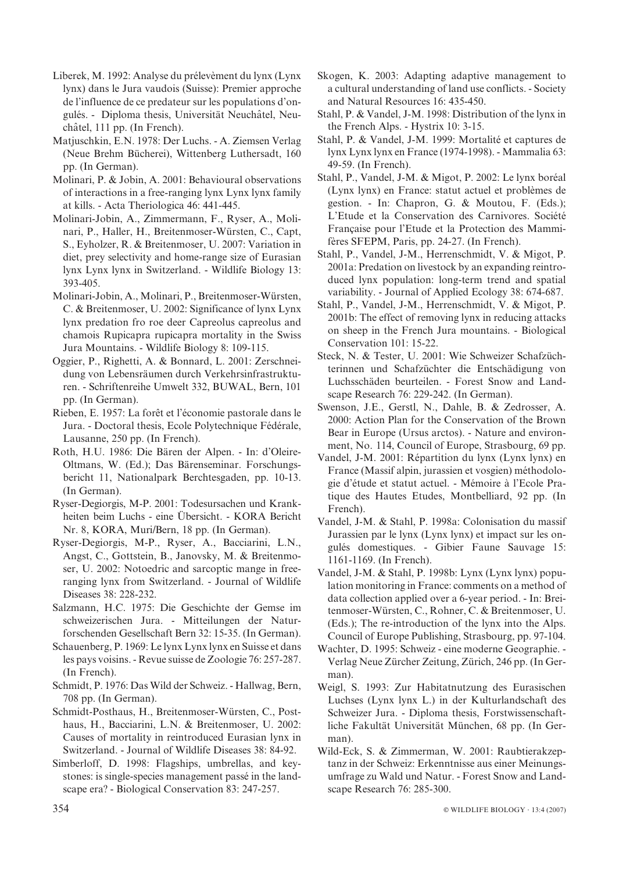- Liberek, M. 1992: Analyse du prélevèment du lynx (Lynx) lynx) dans le Jura vaudois (Suisse): Premier approche de l'influence de ce predateur sur les populations d'ongulés. - Diploma thesis, Universität Neuchâtel, Neuchâtel, 111 pp. (In French).
- Matjuschkin, E.N. 1978: Der Luchs. A. Ziemsen Verlag (Neue Brehm Bücherei), Wittenberg Luthersadt, 160 pp. (In German).
- Molinari, P. & Jobin, A. 2001: Behavioural observations of interactions in a free-ranging lynx Lynx lynx family at kills. - Acta Theriologica 46: 441-445.
- Molinari-Jobin, A., Zimmermann, F., Ryser, A., Molinari, P., Haller, H., Breitenmoser-Würsten, C., Capt, S., Eyholzer, R. & Breitenmoser, U. 2007: Variation in diet, prey selectivity and home-range size of Eurasian lynx Lynx lynx in Switzerland. - Wildlife Biology 13: 393-405.
- Molinari-Jobin, A., Molinari, P., Breitenmoser-Würsten, C. & Breitenmoser, U. 2002: Significance of lynx Lynx lynx predation fro roe deer Capreolus capreolus and chamois Rupicapra rupicapra mortality in the Swiss Jura Mountains. - Wildlife Biology 8: 109-115.
- Oggier, P., Righetti, A. & Bonnard, L. 2001: Zerschneidung von Lebensräumen durch Verkehrsinfrastrukturen. - Schriftenreihe Umwelt 332, BUWAL, Bern, 101 pp. (In German).
- Rieben, E. 1957: La forêt et l'économie pastorale dans le Jura. - Doctoral thesis, Ecole Polytechnique Fédérale, Lausanne, 250 pp. (In French).
- Roth, H.U. 1986: Die Bären der Alpen. In: d'Oleire-Oltmans, W. (Ed.); Das Bärenseminar. Forschungsbericht 11, Nationalpark Berchtesgaden, pp. 10-13. (In German).
- Ryser-Degiorgis, M-P. 2001: Todesursachen und Krankheiten beim Luchs - eine Übersicht. - KORA Bericht Nr. 8, KORA, Muri/Bern, 18 pp. (In German).
- Ryser-Degiorgis, M-P., Ryser, A., Bacciarini, L.N., Angst, C., Gottstein, B., Janovsky, M. & Breitenmoser, U. 2002: Notoedric and sarcoptic mange in freeranging lynx from Switzerland. - Journal of Wildlife Diseases 38: 228-232.
- Salzmann, H.C. 1975: Die Geschichte der Gemse im schweizerischen Jura. - Mitteilungen der Naturforschenden Gesellschaft Bern 32: 15-35. (In German).
- Schauenberg, P. 1969: Le lynx Lynx lynx en Suisse et dans les pays voisins. - Revue suisse de Zoologie 76: 257-287. (In French).
- Schmidt, P. 1976: Das Wild der Schweiz. Hallwag, Bern, 708 pp. (In German).
- Schmidt-Posthaus, H., Breitenmoser-Würsten, C., Posthaus, H., Bacciarini, L.N. & Breitenmoser, U. 2002: Causes of mortality in reintroduced Eurasian lynx in Switzerland. - Journal of Wildlife Diseases 38: 84-92.
- Simberloff, D. 1998: Flagships, umbrellas, and keystones: is single-species management passé in the landscape era? - Biological Conservation 83: 247-257.
- Skogen, K. 2003: Adapting adaptive management to a cultural understanding of land use conflicts. - Society and Natural Resources 16: 435-450.
- Stahl, P. & Vandel, J-M. 1998: Distribution of the lynx in the French Alps. - Hystrix 10: 3-15.
- Stahl, P. & Vandel, J-M. 1999: Mortalité et captures de lynx Lynx lynx en France (1974-1998). - Mammalia 63: 49-59. (In French).
- Stahl, P., Vandel, J-M. & Migot, P. 2002: Le lynx boréal (Lynx lynx) en France: statut actuel et problèmes de gestion. - In: Chapron, G. & Moutou, F. (Eds.); L'Etude et la Conservation des Carnivores. Société Française pour l'Etude et la Protection des Mammifères SFEPM, Paris, pp. 24-27. (In French).
- Stahl, P., Vandel, J-M., Herrenschmidt, V. & Migot, P. 2001a: Predation on livestock by an expanding reintroduced lynx population: long-term trend and spatial variability. - Journal of Applied Ecology 38: 674-687.
- Stahl, P., Vandel, J-M., Herrenschmidt, V. & Migot, P. 2001b: The effect of removing lynx in reducing attacks on sheep in the French Jura mountains. - Biological Conservation 101: 15-22.
- Steck, N. & Tester, U. 2001: Wie Schweizer Schafzüchterinnen und Schafzüchter die Entschädigung von Luchsschäden beurteilen. - Forest Snow and Landscape Research 76: 229-242. (In German).
- Swenson, J.E., Gerstl, N., Dahle, B. & Zedrosser, A. 2000: Action Plan for the Conservation of the Brown Bear in Europe (Ursus arctos). - Nature and environment, No. 114, Council of Europe, Strasbourg, 69 pp.
- Vandel, J-M. 2001: Répartition du lynx (Lynx lynx) en France (Massif alpin, jurassien et vosgien) méthodologie d'étude et statut actuel. - Mémoire à l'Ecole Pratique des Hautes Etudes, Montbelliard, 92 pp. (In French).
- Vandel, J-M. & Stahl, P. 1998a: Colonisation du massif Jurassien par le lynx (Lynx lynx) et impact sur les ongulés domestiques. - Gibier Faune Sauvage 15: 1161-1169. (In French).
- Vandel, J-M. & Stahl, P. 1998b: Lynx (Lynx lynx) population monitoring in France: comments on a method of data collection applied over a 6-year period. - In: Breitenmoser-Würsten, C., Rohner, C. & Breitenmoser, U. (Eds.); The re-introduction of the lynx into the Alps. Council of Europe Publishing, Strasbourg, pp. 97-104.
- Wachter, D. 1995: Schweiz eine moderne Geographie. Verlag Neue Zürcher Zeitung, Zürich, 246 pp. (In German).
- Weigl, S. 1993: Zur Habitatnutzung des Eurasischen Luchses (Lynx lynx L.) in der Kulturlandschaft des Schweizer Jura. - Diploma thesis, Forstwissenschaftliche Fakultät Universität München, 68 pp. (In German).
- Wild-Eck, S. & Zimmerman, W. 2001: Raubtierakzeptanz in der Schweiz: Erkenntnisse aus einer Meinungsumfrage zu Wald und Natur. - Forest Snow and Landscape Research 76: 285-300.